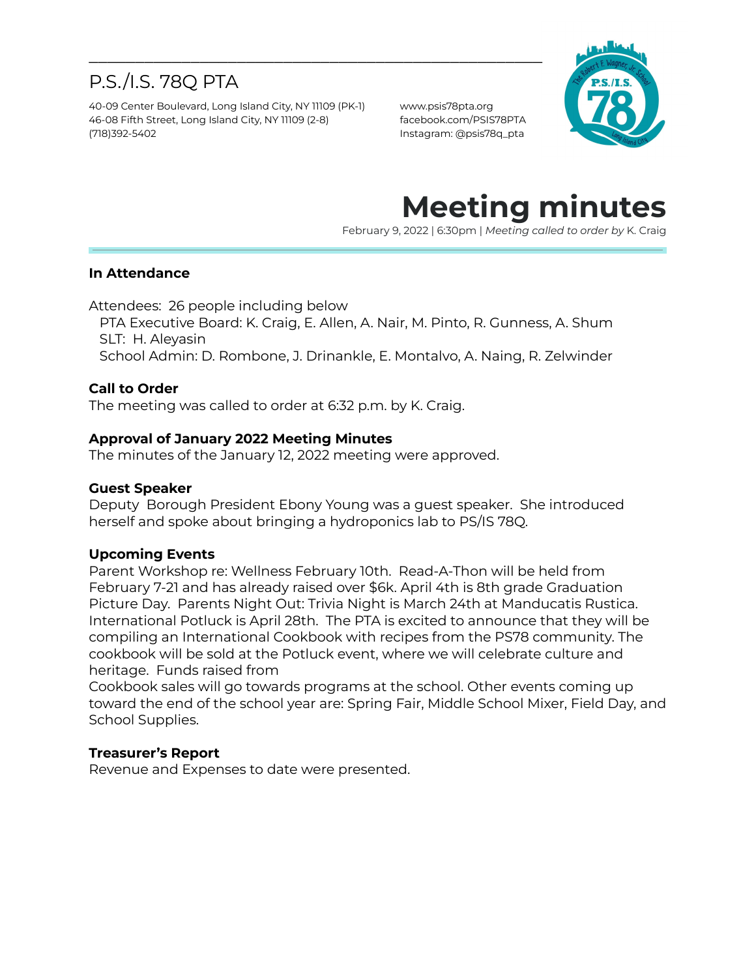# P.S./I.S. 78Q PTA

40-09 Center Boulevard, Long Island City, NY 11109 (PK-1) www.psis78pta.org 46-08 Fifth Street, Long Island City, NY 11109 (2-8) facebook.com/PSIS78PTA (718)392-5402 Instagram: @psis78q\_pta



# **Meeting minutes**

February 9, 2022 | 6:30pm | *Meeting called to order by* K. Craig

### **In Attendance**

Attendees: 26 people including below

PTA Executive Board: K. Craig, E. Allen, A. Nair, M. Pinto, R. Gunness, A. Shum SLT: H. Aleyasin

\_\_\_\_\_\_\_\_\_\_\_\_\_\_\_\_\_\_\_\_\_\_\_\_\_\_\_\_\_\_\_\_\_\_\_\_\_\_\_\_\_\_\_\_\_\_\_\_\_

School Admin: D. Rombone, J. Drinankle, E. Montalvo, A. Naing, R. Zelwinder

### **Call to Order**

The meeting was called to order at 6:32 p.m. by K. Craig.

### **Approval of January 2022 Meeting Minutes**

The minutes of the January 12, 2022 meeting were approved.

#### **Guest Speaker**

Deputy Borough President Ebony Young was a guest speaker. She introduced herself and spoke about bringing a hydroponics lab to PS/IS 78Q.

### **Upcoming Events**

Parent Workshop re: Wellness February 10th. Read-A-Thon will be held from February 7-21 and has already raised over \$6k. April 4th is 8th grade Graduation Picture Day. Parents Night Out: Trivia Night is March 24th at Manducatis Rustica. International Potluck is April 28th. The PTA is excited to announce that they will be compiling an International Cookbook with recipes from the PS78 community. The cookbook will be sold at the Potluck event, where we will celebrate culture and heritage. Funds raised from

Cookbook sales will go towards programs at the school. Other events coming up toward the end of the school year are: Spring Fair, Middle School Mixer, Field Day, and School Supplies.

### **Treasurer's Report**

Revenue and Expenses to date were presented.